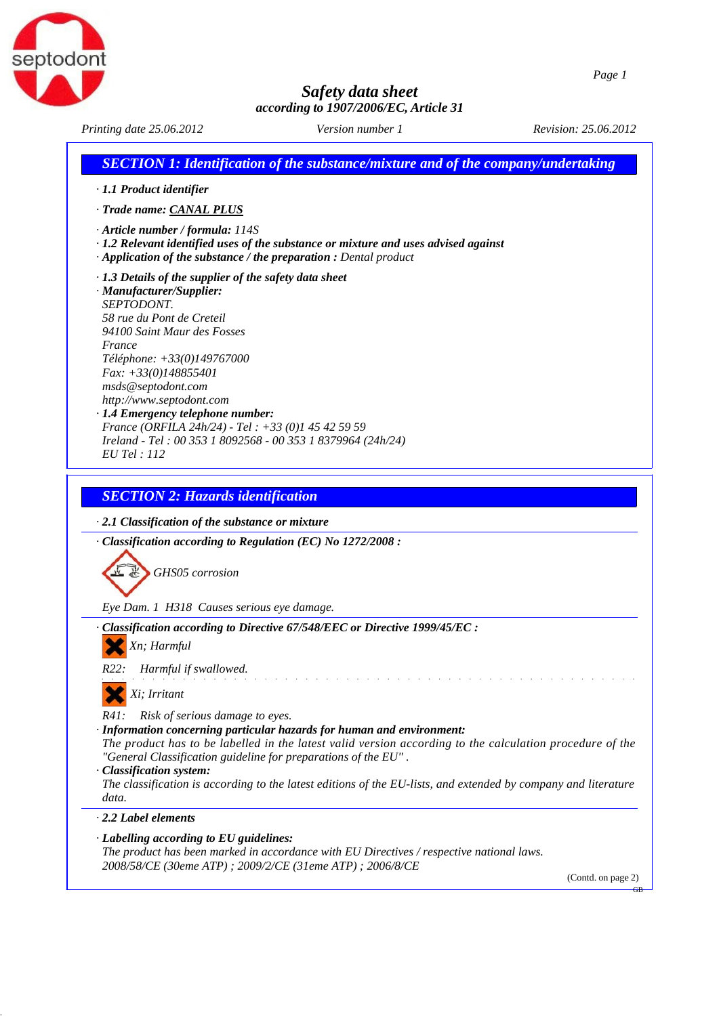



| Printing date 25.06.2012                                                                                                                                                                                                                                                                                                                                                                                                                                        | Version number 1                                                                                                                                                                                                                                                                                     | Revision: 25.06.2012 |
|-----------------------------------------------------------------------------------------------------------------------------------------------------------------------------------------------------------------------------------------------------------------------------------------------------------------------------------------------------------------------------------------------------------------------------------------------------------------|------------------------------------------------------------------------------------------------------------------------------------------------------------------------------------------------------------------------------------------------------------------------------------------------------|----------------------|
|                                                                                                                                                                                                                                                                                                                                                                                                                                                                 | <b>SECTION 1: Identification of the substance/mixture and of the company/undertaking</b>                                                                                                                                                                                                             |                      |
| · 1.1 Product identifier                                                                                                                                                                                                                                                                                                                                                                                                                                        |                                                                                                                                                                                                                                                                                                      |                      |
| · Trade name: CANAL PLUS                                                                                                                                                                                                                                                                                                                                                                                                                                        |                                                                                                                                                                                                                                                                                                      |                      |
| · Article number / formula: 114S<br>· Application of the substance / the preparation : Dental product                                                                                                                                                                                                                                                                                                                                                           | $\cdot$ 1.2 Relevant identified uses of the substance or mixture and uses advised against                                                                                                                                                                                                            |                      |
| $\cdot$ 1.3 Details of the supplier of the safety data sheet<br>· Manufacturer/Supplier:<br>SEPTODONT.<br>58 rue du Pont de Creteil<br>94100 Saint Maur des Fosses<br>France<br>Téléphone: +33(0)149767000<br>$Fax: +33(0)148855401$<br>msds@septodont.com<br>http://www.septodont.com<br>· 1.4 Emergency telephone number:<br>France (ORFILA 24h/24) - Tel: +33 (0)1 45 42 59 59<br>Ireland - Tel: 00 353 1 8092568 - 00 353 1 8379964 (24h/24)<br>EU Tel: 112 |                                                                                                                                                                                                                                                                                                      |                      |
|                                                                                                                                                                                                                                                                                                                                                                                                                                                                 |                                                                                                                                                                                                                                                                                                      |                      |
| <b>SECTION 2: Hazards identification</b>                                                                                                                                                                                                                                                                                                                                                                                                                        |                                                                                                                                                                                                                                                                                                      |                      |
| $\cdot$ 2.1 Classification of the substance or mixture                                                                                                                                                                                                                                                                                                                                                                                                          |                                                                                                                                                                                                                                                                                                      |                      |
| · Classification according to Regulation (EC) No 1272/2008 :                                                                                                                                                                                                                                                                                                                                                                                                    |                                                                                                                                                                                                                                                                                                      |                      |
| GHS05 corrosion                                                                                                                                                                                                                                                                                                                                                                                                                                                 |                                                                                                                                                                                                                                                                                                      |                      |
| Eye Dam. 1 H318 Causes serious eye damage.                                                                                                                                                                                                                                                                                                                                                                                                                      |                                                                                                                                                                                                                                                                                                      |                      |
|                                                                                                                                                                                                                                                                                                                                                                                                                                                                 | · Classification according to Directive 67/548/EEC or Directive 1999/45/EC :                                                                                                                                                                                                                         |                      |
| Xn; Harmful                                                                                                                                                                                                                                                                                                                                                                                                                                                     |                                                                                                                                                                                                                                                                                                      |                      |
| Harmful if swallowed.<br>R22:                                                                                                                                                                                                                                                                                                                                                                                                                                   |                                                                                                                                                                                                                                                                                                      |                      |
| Xi; Irritant                                                                                                                                                                                                                                                                                                                                                                                                                                                    |                                                                                                                                                                                                                                                                                                      |                      |
| Risk of serious damage to eyes.<br>R41:<br>"General Classification guideline for preparations of the EU".<br>· Classification system:<br>data.                                                                                                                                                                                                                                                                                                                  | · Information concerning particular hazards for human and environment:<br>The product has to be labelled in the latest valid version according to the calculation procedure of the<br>The classification is according to the latest editions of the EU-lists, and extended by company and literature |                      |
| $\cdot$ 2.2 Label elements                                                                                                                                                                                                                                                                                                                                                                                                                                      |                                                                                                                                                                                                                                                                                                      |                      |
| $\cdot$ Labelling according to EU guidelines:<br>2008/58/CE (30eme ATP) ; 2009/2/CE (31eme ATP) ; 2006/8/CE                                                                                                                                                                                                                                                                                                                                                     | The product has been marked in accordance with EU Directives / respective national laws.                                                                                                                                                                                                             | (Contd. on page 2)   |
|                                                                                                                                                                                                                                                                                                                                                                                                                                                                 |                                                                                                                                                                                                                                                                                                      |                      |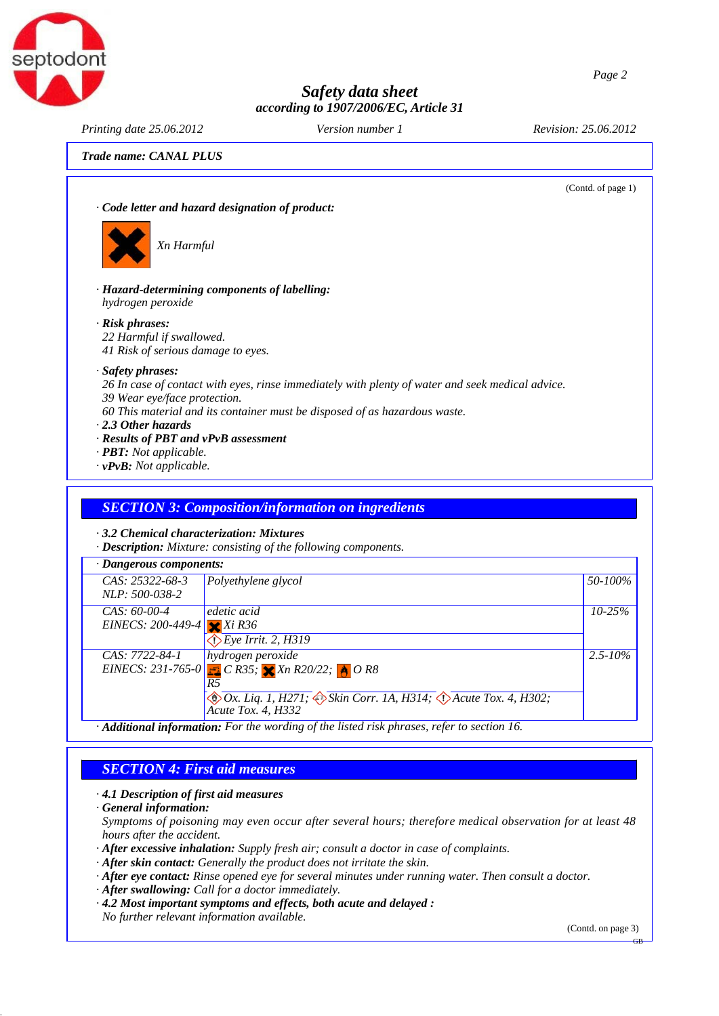



*Printing date 25.06.2012 Version number 1 Revision: 25.06.2012*

*Trade name: CANAL PLUS*

(Contd. of page 1)

*· Code letter and hazard designation of product:*



*Xn Harmful*

*· Hazard-determining components of labelling: hydrogen peroxide*

*· Risk phrases:*

*22 Harmful if swallowed.*

*41 Risk of serious damage to eyes.*

#### *· Safety phrases:*

*26 In case of contact with eyes, rinse immediately with plenty of water and seek medical advice.*

- *39 Wear eye/face protection.*
- *60 This material and its container must be disposed of as hazardous waste.*
- *· 2.3 Other hazards*
- *· Results of PBT and vPvB assessment*
- *· PBT: Not applicable.*
- *· vPvB: Not applicable.*

#### *SECTION 3: Composition/information on ingredients*

*· 3.2 Chemical characterization: Mixtures*

*· Description: Mixture: consisting of the following components.*

| · Dangerous components:    |                                                                                                                   |              |
|----------------------------|-------------------------------------------------------------------------------------------------------------------|--------------|
| $CAS: 25322-68-3$          | Polyethylene glycol                                                                                               | 50-100%      |
| <i>NLP:</i> 500-038-2      |                                                                                                                   |              |
| $CAS: 60-00-4$             | edetic acid                                                                                                       | $10 - 25\%$  |
| EINECS: 200-449-4 $Xi$ R36 |                                                                                                                   |              |
|                            | $\bigcirc$ Eye Irrit. 2, H319                                                                                     |              |
| CAS: 7722-84-1             | hydrogen peroxide                                                                                                 | $2.5 - 10\%$ |
|                            | EINECS: 231-765-0 $C$ R35; $X$ Xn R20/22; $A$ O R8                                                                |              |
|                            |                                                                                                                   |              |
|                            | $\Diamond$ Ox. Liq. 1, H271; $\Diamond$ Skin Corr. 1A, H314; $\Diamond$ Acute Tox. 4, H302;<br>Acute Tox. 4, H332 |              |
|                            | $\cdot$ <b>Additional information:</b> For the wording of the listed risk phrases, refer to section 16.           |              |

# *SECTION 4: First aid measures*

*· 4.1 Description of first aid measures*

*· General information:*

*Symptoms of poisoning may even occur after several hours; therefore medical observation for at least 48 hours after the accident.*

*· After excessive inhalation: Supply fresh air; consult a doctor in case of complaints.*

- *· After skin contact: Generally the product does not irritate the skin.*
- *· After eye contact: Rinse opened eye for several minutes under running water. Then consult a doctor.*
- *· After swallowing: Call for a doctor immediately.*
- *· 4.2 Most important symptoms and effects, both acute and delayed : No further relevant information available.*

(Contd. on page 3)

GB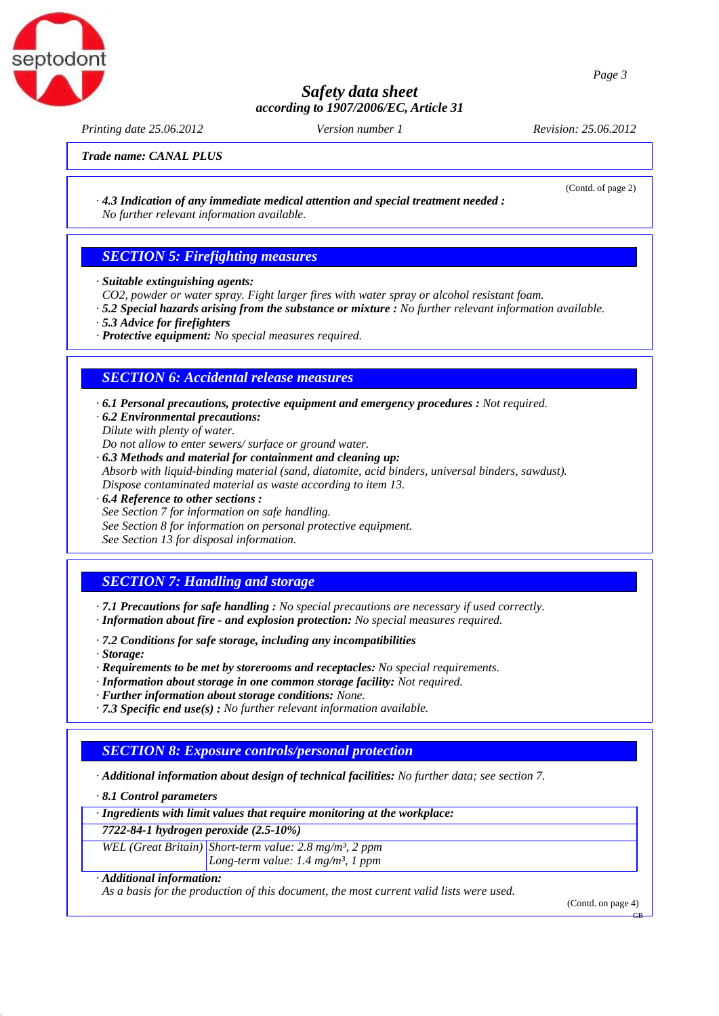

*Printing date 25.06.2012 Version number 1 Revision: 25.06.2012*

ptodoni

(Contd. of page 2)

*Trade name: CANAL PLUS*

*· 4.3 Indication of any immediate medical attention and special treatment needed : No further relevant information available.*

#### *SECTION 5: Firefighting measures*

- *· Suitable extinguishing agents:*
- *CO2, powder or water spray. Fight larger fires with water spray or alcohol resistant foam.*
- *· 5.2 Special hazards arising from the substance or mixture : No further relevant information available.*
- *· 5.3 Advice for firefighters*
- *· Protective equipment: No special measures required.*

#### *SECTION 6: Accidental release measures*

- *· 6.1 Personal precautions, protective equipment and emergency procedures : Not required.*
- *· 6.2 Environmental precautions: Dilute with plenty of water.*
- *Do not allow to enter sewers/ surface or ground water.*
- *· 6.3 Methods and material for containment and cleaning up: Absorb with liquid-binding material (sand, diatomite, acid binders, universal binders, sawdust). Dispose contaminated material as waste according to item 13.*
- *· 6.4 Reference to other sections : See Section 7 for information on safe handling. See Section 8 for information on personal protective equipment. See Section 13 for disposal information.*

#### *SECTION 7: Handling and storage*

*· 7.1 Precautions for safe handling : No special precautions are necessary if used correctly.*

- *· Information about fire and explosion protection: No special measures required.*
- *· 7.2 Conditions for safe storage, including any incompatibilities*
- *· Storage:*
- *· Requirements to be met by storerooms and receptacles: No special requirements.*
- *· Information about storage in one common storage facility: Not required.*
- *· Further information about storage conditions: None.*
- *· 7.3 Specific end use(s) : No further relevant information available.*

#### *SECTION 8: Exposure controls/personal protection*

*· Additional information about design of technical facilities: No further data; see section 7.*

*· 8.1 Control parameters*

*· Ingredients with limit values that require monitoring at the workplace:*

*7722-84-1 hydrogen peroxide (2.5-10%)*

*WEL (Great Britain) Short-term value: 2.8 mg/m³, 2 ppm Long-term value: 1.4 mg/m³, 1 ppm*

*· Additional information:*

*As a basis for the production of this document, the most current valid lists were used.*

(Contd. on page 4)

GB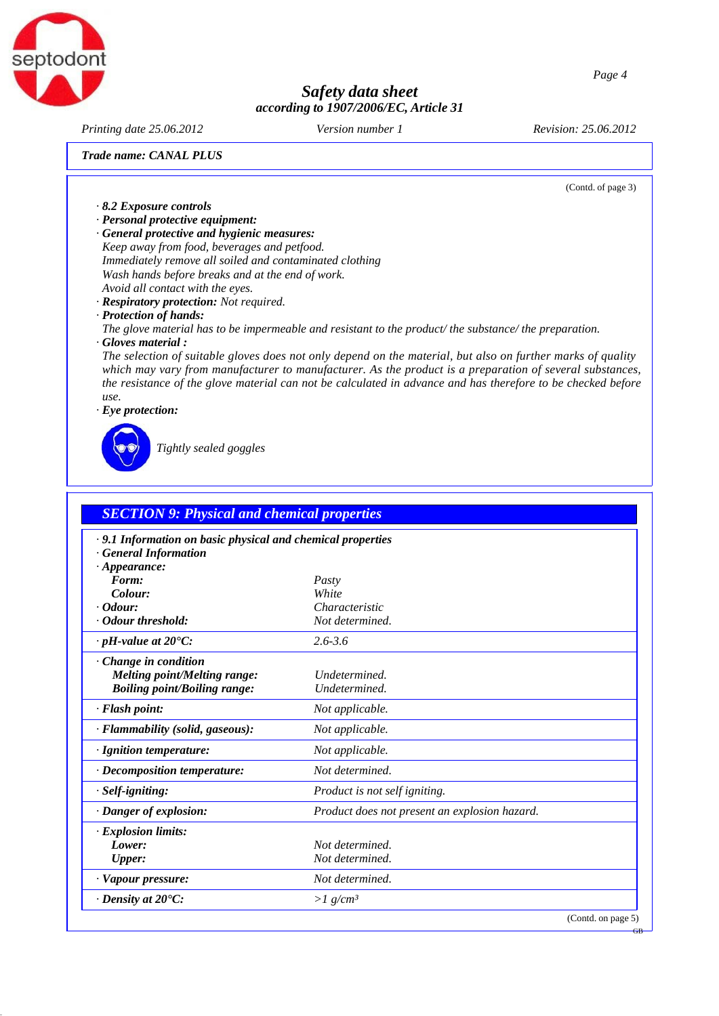

*Printing date 25.06.2012 Version number 1 Revision: 25.06.2012*

*Trade name: CANAL PLUS*

(Contd. of page 3)

- *· 8.2 Exposure controls · Personal protective equipment:*
- *· General protective and hygienic measures:*

*Keep away from food, beverages and petfood. Immediately remove all soiled and contaminated clothing Wash hands before breaks and at the end of work. Avoid all contact with the eyes.*

- *· Respiratory protection: Not required.*
- *· Protection of hands:*

*The glove material has to be impermeable and resistant to the product/ the substance/ the preparation.*

*· Gloves material :*

*The selection of suitable gloves does not only depend on the material, but also on further marks of quality which may vary from manufacturer to manufacturer. As the product is a preparation of several substances, the resistance of the glove material can not be calculated in advance and has therefore to be checked before use.*

*· Eye protection:*



*Tightly sealed goggles*

| .9.1 Information on basic physical and chemical properties |                                               |  |
|------------------------------------------------------------|-----------------------------------------------|--|
| · General Information                                      |                                               |  |
| $\cdot$ Appearance:                                        |                                               |  |
| Form:                                                      | Pasty                                         |  |
| Colour:                                                    | White                                         |  |
| $\cdot$ Odour:<br>Odour threshold:                         | Characteristic<br>Not determined.             |  |
|                                                            |                                               |  |
| $\cdot$ pH-value at 20 $\degree$ C:                        | $2.6 - 3.6$                                   |  |
| $\cdot$ Change in condition                                |                                               |  |
| <b>Melting point/Melting range:</b>                        | Undetermined.                                 |  |
| <b>Boiling point/Boiling range:</b>                        | Undetermined.                                 |  |
| $\cdot$ Flash point:                                       | Not applicable.                               |  |
| · Flammability (solid, gaseous):                           | Not applicable.                               |  |
| · Ignition temperature:                                    | Not applicable.                               |  |
| · Decomposition temperature:                               | Not determined.                               |  |
| · Self-igniting:                                           | Product is not self igniting.                 |  |
| · Danger of explosion:                                     | Product does not present an explosion hazard. |  |
| <b>Explosion limits:</b>                                   |                                               |  |
| Lower:                                                     | Not determined.                               |  |
| <b>Upper:</b>                                              | Not determined.                               |  |
| · Vapour pressure:                                         | Not determined.                               |  |
| $\cdot$ Density at 20 $\degree$ C:                         | $>1$ g/cm <sup>3</sup>                        |  |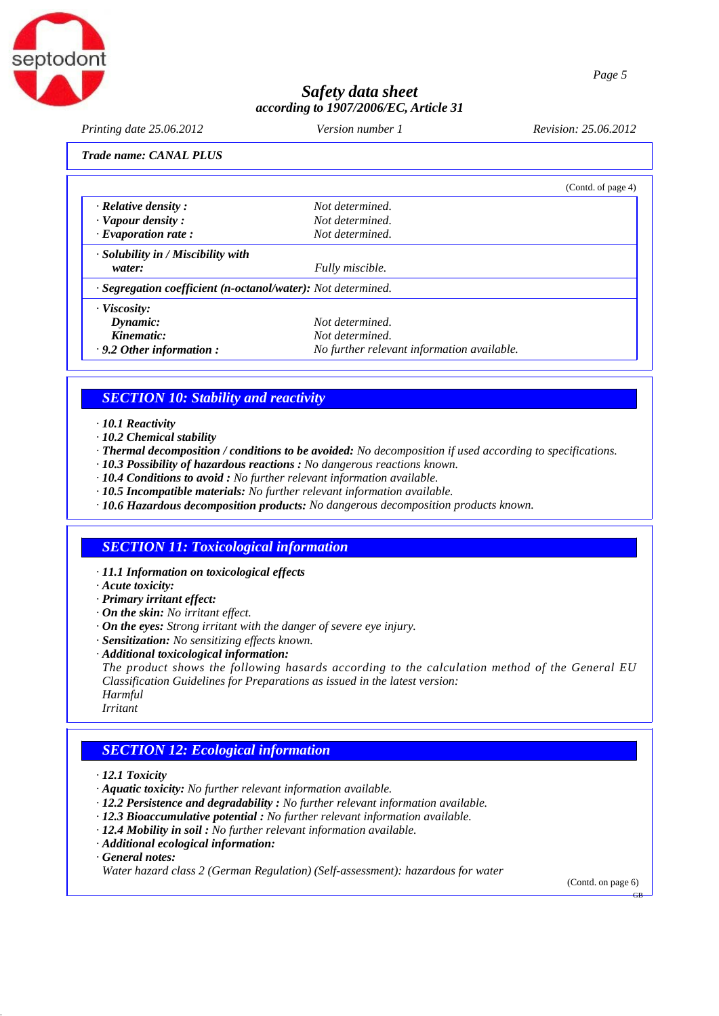

*Printing date 25.06.2012 Version number 1 Revision: 25.06.2012*

*Trade name: CANAL PLUS*

|                                                              |                                            | (Contd. of page 4) |
|--------------------------------------------------------------|--------------------------------------------|--------------------|
| $\cdot$ Relative density :                                   | Not determined.                            |                    |
| $\cdot$ Vapour density :                                     | Not determined.                            |                    |
| $\cdot$ Evaporation rate:                                    | Not determined.                            |                    |
| $\cdot$ Solubility in / Miscibility with                     |                                            |                    |
| water:                                                       | Fully miscible.                            |                    |
| · Segregation coefficient (n-octanol/water): Not determined. |                                            |                    |
| $\cdot$ Viscosity:                                           |                                            |                    |
| Dynamic:                                                     | Not determined.                            |                    |
| Kinematic:                                                   | Not determined.                            |                    |
| $\cdot$ 9.2 Other information :                              | No further relevant information available. |                    |

#### *SECTION 10: Stability and reactivity*

*· 10.1 Reactivity*

- *· 10.2 Chemical stability*
- *· Thermal decomposition / conditions to be avoided: No decomposition if used according to specifications.*
- *· 10.3 Possibility of hazardous reactions : No dangerous reactions known.*
- *· 10.4 Conditions to avoid : No further relevant information available.*
- *· 10.5 Incompatible materials: No further relevant information available.*
- *· 10.6 Hazardous decomposition products: No dangerous decomposition products known.*

#### *SECTION 11: Toxicological information*

*· 11.1 Information on toxicological effects*

- *· Acute toxicity:*
- *· Primary irritant effect:*
- *· On the skin: No irritant effect.*
- *· On the eyes: Strong irritant with the danger of severe eye injury.*
- *· Sensitization: No sensitizing effects known.*
- *· Additional toxicological information:*

*The product shows the following hasards according to the calculation method of the General EU Classification Guidelines for Preparations as issued in the latest version: Harmful Irritant*

#### *SECTION 12: Ecological information*

- *· 12.1 Toxicity*
- *· Aquatic toxicity: No further relevant information available.*
- *· 12.2 Persistence and degradability : No further relevant information available.*
- *· 12.3 Bioaccumulative potential : No further relevant information available.*
- *· 12.4 Mobility in soil : No further relevant information available.*
- *· Additional ecological information:*
- *· General notes:*

*Water hazard class 2 (German Regulation) (Self-assessment): hazardous for water*

(Contd. on page 6)

GB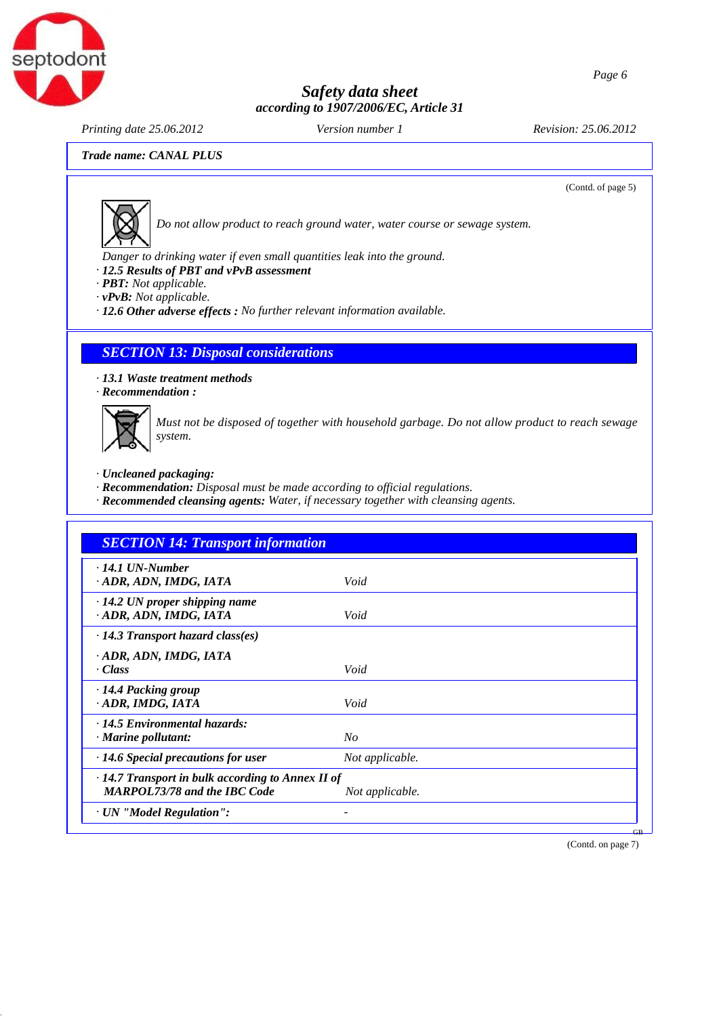

*Printing date 25.06.2012 Version number 1 Revision: 25.06.2012*

(Contd. of page 5)

*Trade name: CANAL PLUS*



*Do not allow product to reach ground water, water course or sewage system.* 

*Danger to drinking water if even small quantities leak into the ground.*

- *· 12.5 Results of PBT and vPvB assessment*
- *· PBT: Not applicable.*
- *· vPvB: Not applicable.*

*· 12.6 Other adverse effects : No further relevant information available.*

#### *SECTION 13: Disposal considerations*

*· 13.1 Waste treatment methods · Recommendation :*



*Must not be disposed of together with household garbage. Do not allow product to reach sewage system.*

- *· Uncleaned packaging:*
- *· Recommendation: Disposal must be made according to official regulations.*
- *· Recommended cleansing agents: Water, if necessary together with cleansing agents.*

| <b>SECTION 14: Transport information</b>                                                       |                 |  |
|------------------------------------------------------------------------------------------------|-----------------|--|
| $\cdot$ 14.1 UN-Number<br>· ADR, ADN, IMDG, IATA                                               | Void            |  |
| $\cdot$ 14.2 UN proper shipping name<br>· ADR, ADN, IMDG, IATA                                 | Void            |  |
| $\cdot$ 14.3 Transport hazard class(es)                                                        |                 |  |
| · ADR, ADN, IMDG, IATA<br>· Class                                                              | Void            |  |
| $\cdot$ 14.4 Packing group<br>ADR, IMDG, IATA                                                  | Void            |  |
| $\cdot$ 14.5 Environmental hazards:<br>$\cdot$ Marine pollutant:                               | No              |  |
| $\cdot$ 14.6 Special precautions for user                                                      | Not applicable. |  |
| $\cdot$ 14.7 Transport in bulk according to Annex II of<br><b>MARPOL73/78 and the IBC Code</b> | Not applicable. |  |
| · UN "Model Regulation":                                                                       |                 |  |

(Contd. on page 7)